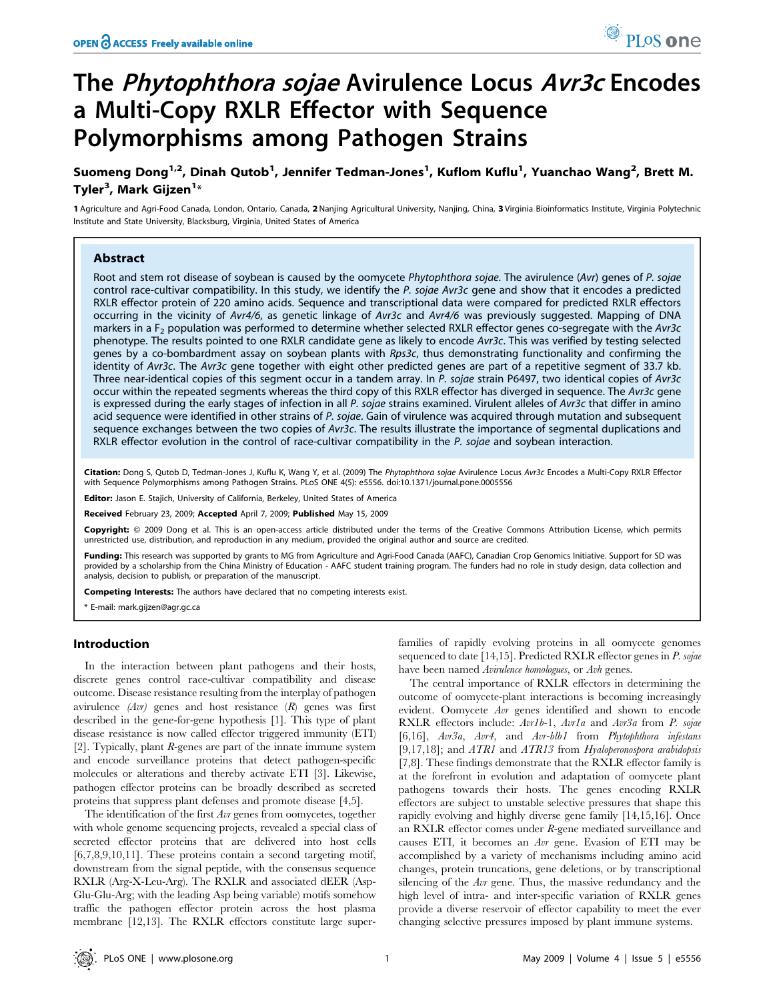# The Phytophthora sojae Avirulence Locus Avr3c Encodes a Multi-Copy RXLR Effector with Sequence Polymorphisms among Pathogen Strains

Suomeng Dong<sup>1,2</sup>, Dinah Qutob<sup>1</sup>, Jennifer Tedman-Jones<sup>1</sup>, Kuflom Kuflu<sup>1</sup>, Yuanchao Wang<sup>2</sup>, Brett M. Tyler<sup>3</sup>, Mark Gijzen<sup>1</sup>\*

1 Agriculture and Agri-Food Canada, London, Ontario, Canada, 2Nanjing Agricultural University, Nanjing, China, 3 Virginia Bioinformatics Institute, Virginia Polytechnic Institute and State University, Blacksburg, Virginia, United States of America

# Abstract

Root and stem rot disease of soybean is caused by the oomycete Phytophthora sojae. The avirulence (Avr) genes of P. sojae control race-cultivar compatibility. In this study, we identify the P. sojae Avr3c gene and show that it encodes a predicted RXLR effector protein of 220 amino acids. Sequence and transcriptional data were compared for predicted RXLR effectors occurring in the vicinity of Avr4/6, as genetic linkage of Avr3c and Avr4/6 was previously suggested. Mapping of DNA markers in a  $F_2$  population was performed to determine whether selected RXLR effector genes co-segregate with the Avr3c phenotype. The results pointed to one RXLR candidate gene as likely to encode Avr3c. This was verified by testing selected genes by a co-bombardment assay on soybean plants with Rps3c, thus demonstrating functionality and confirming the identity of Avr3c. The Avr3c gene together with eight other predicted genes are part of a repetitive segment of 33.7 kb. Three near-identical copies of this segment occur in a tandem array. In P. sojae strain P6497, two identical copies of Avr3c occur within the repeated segments whereas the third copy of this RXLR effector has diverged in sequence. The Avr3c gene is expressed during the early stages of infection in all P. sojae strains examined. Virulent alleles of Avr3c that differ in amino acid sequence were identified in other strains of P. sojae. Gain of virulence was acquired through mutation and subsequent sequence exchanges between the two copies of Avr3c. The results illustrate the importance of segmental duplications and RXLR effector evolution in the control of race-cultivar compatibility in the P. sojae and soybean interaction.

Citation: Dong S, Qutob D, Tedman-Jones J, Kuflu K, Wang Y, et al. (2009) The Phytophthora sojae Avirulence Locus Avr3c Encodes a Multi-Copy RXLR Effector with Sequence Polymorphisms among Pathogen Strains. PLoS ONE 4(5): e5556. doi:10.1371/journal.pone.0005556

Editor: Jason E. Stajich, University of California, Berkeley, United States of America

Received February 23, 2009; Accepted April 7, 2009; Published May 15, 2009

Copyright: @ 2009 Dong et al. This is an open-access article distributed under the terms of the Creative Commons Attribution License, which permits unrestricted use, distribution, and reproduction in any medium, provided the original author and source are credited.

Funding: This research was supported by grants to MG from Agriculture and Agri-Food Canada (AAFC), Canadian Crop Genomics Initiative. Support for SD was provided by a scholarship from the China Ministry of Education - AAFC student training program. The funders had no role in study design, data collection and analysis, decision to publish, or preparation of the manuscript.

Competing Interests: The authors have declared that no competing interests exist.

\* E-mail: mark.gijzen@agr.gc.ca

## Introduction

In the interaction between plant pathogens and their hosts, discrete genes control race-cultivar compatibility and disease outcome. Disease resistance resulting from the interplay of pathogen avirulence  $(Avr)$  genes and host resistance  $(R)$  genes was first described in the gene-for-gene hypothesis [1]. This type of plant disease resistance is now called effector triggered immunity (ETI) [2]. Typically, plant  $R$ -genes are part of the innate immune system and encode surveillance proteins that detect pathogen-specific molecules or alterations and thereby activate ETI [3]. Likewise, pathogen effector proteins can be broadly described as secreted proteins that suppress plant defenses and promote disease [4,5].

The identification of the first Avr genes from oomycetes, together with whole genome sequencing projects, revealed a special class of secreted effector proteins that are delivered into host cells [6,7,8,9,10,11]. These proteins contain a second targeting motif, downstream from the signal peptide, with the consensus sequence RXLR (Arg-X-Leu-Arg). The RXLR and associated dEER (Asp-Glu-Glu-Arg; with the leading Asp being variable) motifs somehow traffic the pathogen effector protein across the host plasma membrane [12,13]. The RXLR effectors constitute large superfamilies of rapidly evolving proteins in all oomycete genomes sequenced to date [14,15]. Predicted RXLR effector genes in  $P$ . sojae have been named Avirulence homologues, or Avh genes.

The central importance of RXLR effectors in determining the outcome of oomycete-plant interactions is becoming increasingly evident. Oomycete Avr genes identified and shown to encode RXLR effectors include: Avr1b-1, Avr1a and Avr3a from P. sojae [6,16], Avr3a, Avr4, and Avr-blb1 from Phytophthora infestans [9,17,18]; and ATR1 and ATR13 from Hyaloperonospora arabidopsis [7,8]. These findings demonstrate that the RXLR effector family is at the forefront in evolution and adaptation of oomycete plant pathogens towards their hosts. The genes encoding RXLR effectors are subject to unstable selective pressures that shape this rapidly evolving and highly diverse gene family [14,15,16]. Once an RXLR effector comes under R-gene mediated surveillance and causes ETI, it becomes an Avr gene. Evasion of ETI may be accomplished by a variety of mechanisms including amino acid changes, protein truncations, gene deletions, or by transcriptional silencing of the Avr gene. Thus, the massive redundancy and the high level of intra- and inter-specific variation of RXLR genes provide a diverse reservoir of effector capability to meet the ever changing selective pressures imposed by plant immune systems.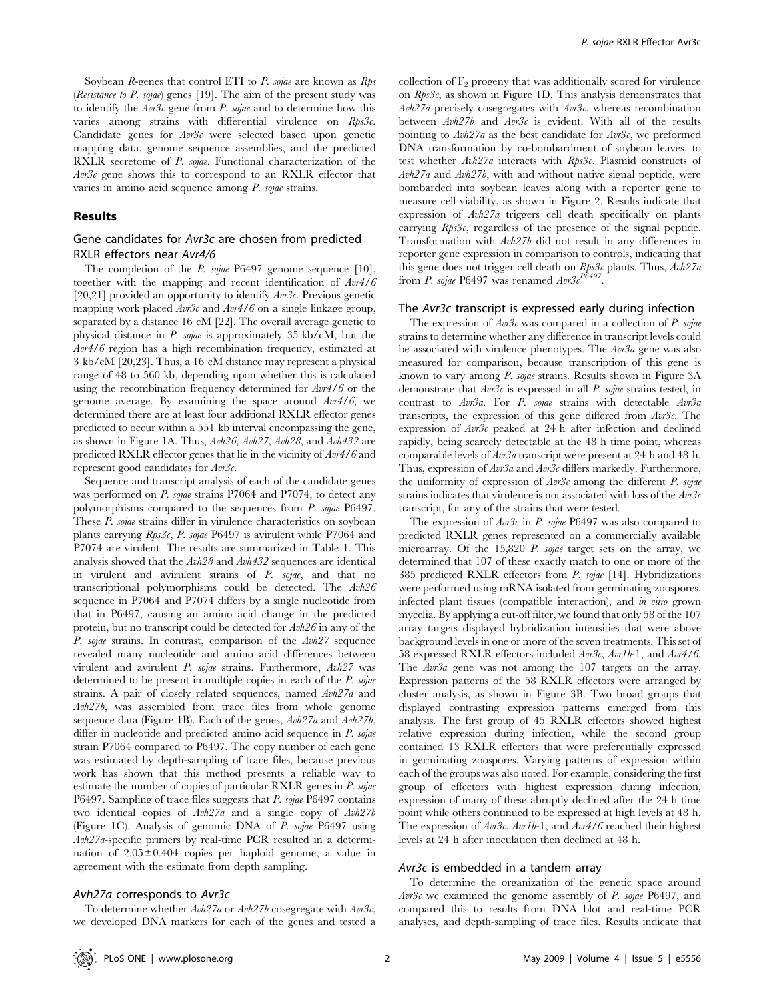Soybean  $R$ -genes that control ETI to  $P$ . sojae are known as  $Rps$ (Resistance to P. sojae) genes [19]. The aim of the present study was to identify the  $Av3c$  gene from P. sojae and to determine how this varies among strains with differential virulence on Rps3c. Candidate genes for  $Avr3c$  were selected based upon genetic mapping data, genome sequence assemblies, and the predicted RXLR secretome of *P. sojae*. Functional characterization of the Avr3c gene shows this to correspond to an RXLR effector that varies in amino acid sequence among P. sojae strains.

#### Results

# Gene candidates for Avr3c are chosen from predicted RXLR effectors near Avr4/6

The completion of the *P. sojae* P6497 genome sequence [10], together with the mapping and recent identification of Avr4/6 [20,21] provided an opportunity to identify  $Avr3c$ . Previous genetic mapping work placed  $Av3c$  and  $Av4/6$  on a single linkage group, separated by a distance 16 cM [22]. The overall average genetic to physical distance in P. sojae is approximately 35 kb/cM, but the Avr4/6 region has a high recombination frequency, estimated at 3 kb/cM [20,23]. Thus, a 16 cM distance may represent a physical range of 48 to 560 kb, depending upon whether this is calculated using the recombination frequency determined for  $Avr4/6$  or the genome average. By examining the space around  $Avr4/6$ , we determined there are at least four additional RXLR effector genes predicted to occur within a 551 kb interval encompassing the gene, as shown in Figure 1A. Thus, Avh26, Avh27, Avh28, and Avh432 are predicted RXLR effector genes that lie in the vicinity of Avr4/6 and represent good candidates for  $Avr3c$ .

Sequence and transcript analysis of each of the candidate genes was performed on *P. sojae* strains P7064 and P7074, to detect any polymorphisms compared to the sequences from P. sojae P6497. These P. sojae strains differ in virulence characteristics on soybean plants carrying Rps3c, P. sojae P6497 is avirulent while P7064 and P7074 are virulent. The results are summarized in Table 1. This analysis showed that the Avh28 and Avh432 sequences are identical in virulent and avirulent strains of P. sojae, and that no transcriptional polymorphisms could be detected. The Avh26 sequence in P7064 and P7074 differs by a single nucleotide from that in P6497, causing an amino acid change in the predicted protein, but no transcript could be detected for Avh26 in any of the P. sojae strains. In contrast, comparison of the Avh27 sequence revealed many nucleotide and amino acid differences between virulent and avirulent P. sojae strains. Furthermore, Avh27 was determined to be present in multiple copies in each of the P. sojae strains. A pair of closely related sequences, named Avh27a and Avh27b, was assembled from trace files from whole genome sequence data (Figure 1B). Each of the genes,  $Avh27a$  and  $Avh27b$ , differ in nucleotide and predicted amino acid sequence in P. sojae strain P7064 compared to P6497. The copy number of each gene was estimated by depth-sampling of trace files, because previous work has shown that this method presents a reliable way to estimate the number of copies of particular RXLR genes in P. sojae P6497. Sampling of trace files suggests that P. sojae P6497 contains two identical copies of Avh27a and a single copy of Avh27b (Figure 1C). Analysis of genomic DNA of P. sojae P6497 using Avh27a-specific primers by real-time PCR resulted in a determination of  $2.05 \pm 0.404$  copies per haploid genome, a value in agreement with the estimate from depth sampling.

#### Avh27a corresponds to Avr3c

To determine whether  $Avh27a$  or  $Avh27b$  cosegregate with  $Avr3c$ , we developed DNA markers for each of the genes and tested a collection of  $F_2$  progeny that was additionally scored for virulence on  $Rps3c$ , as shown in Figure 1D. This analysis demonstrates that  $Avh27a$  precisely cosegregates with  $Avr3c$ , whereas recombination between  $Avh27b$  and  $Avr3c$  is evident. With all of the results pointing to  $Avh27a$  as the best candidate for  $Avr3c$ , we preformed DNA transformation by co-bombardment of soybean leaves, to test whether Avh27a interacts with Rps3c. Plasmid constructs of Avh27a and Avh27b, with and without native signal peptide, were bombarded into soybean leaves along with a reporter gene to measure cell viability, as shown in Figure 2. Results indicate that expression of Avh27a triggers cell death specifically on plants carrying Rps3c, regardless of the presence of the signal peptide. Transformation with Avh27b did not result in any differences in reporter gene expression in comparison to controls, indicating that this gene does not trigger cell death on  $Rps3c$  plants. Thus,  $Avh27a$ from P. sojae P6497 was renamed  $Avr3c^{P6497}$ 

#### The Avr3c transcript is expressed early during infection

The expression of  $Av3c$  was compared in a collection of P. sojae strains to determine whether any difference in transcript levels could be associated with virulence phenotypes. The  $Av3a$  gene was also measured for comparison, because transcription of this gene is known to vary among P. sojae strains. Results shown in Figure 3A demonstrate that  $Av3c$  is expressed in all P. sojae strains tested, in contrast to Avr3a. For P. sojae strains with detectable Avr3a transcripts, the expression of this gene differed from  $Avr3c$ . The expression of  $Avr3c$  peaked at 24 h after infection and declined rapidly, being scarcely detectable at the 48 h time point, whereas comparable levels of Avr3a transcript were present at 24 h and 48 h. Thus, expression of  $Av3a$  and  $Av3c$  differs markedly. Furthermore, the uniformity of expression of  $Avr3c$  among the different P. sojae strains indicates that virulence is not associated with loss of the  $Avr3c$ transcript, for any of the strains that were tested.

The expression of  $Avr3c$  in P. sojae P6497 was also compared to predicted RXLR genes represented on a commercially available microarray. Of the 15,820 P. sojae target sets on the array, we determined that 107 of these exactly match to one or more of the 385 predicted RXLR effectors from  $P$ . sojae [14]. Hybridizations were performed using mRNA isolated from germinating zoospores, infected plant tissues (compatible interaction), and in vitro grown mycelia. By applying a cut-off filter, we found that only 58 of the 107 array targets displayed hybridization intensities that were above background levels in one or more of the seven treatments. This set of 58 expressed RXLR effectors included Avr3c, Avr1b-1, and Avr4/6. The Avr3a gene was not among the 107 targets on the array. Expression patterns of the 58 RXLR effectors were arranged by cluster analysis, as shown in Figure 3B. Two broad groups that displayed contrasting expression patterns emerged from this analysis. The first group of 45 RXLR effectors showed highest relative expression during infection, while the second group contained 13 RXLR effectors that were preferentially expressed in germinating zoospores. Varying patterns of expression within each of the groups was also noted. For example, considering the first group of effectors with highest expression during infection, expression of many of these abruptly declined after the 24 h time point while others continued to be expressed at high levels at 48 h. The expression of  $Av3c$ ,  $Av1b-1$ , and  $Av4/6$  reached their highest levels at 24 h after inoculation then declined at 48 h.

# Avr3c is embedded in a tandem array

To determine the organization of the genetic space around  $Avr3c$  we examined the genome assembly of P. sojae P6497, and compared this to results from DNA blot and real-time PCR analyses, and depth-sampling of trace files. Results indicate that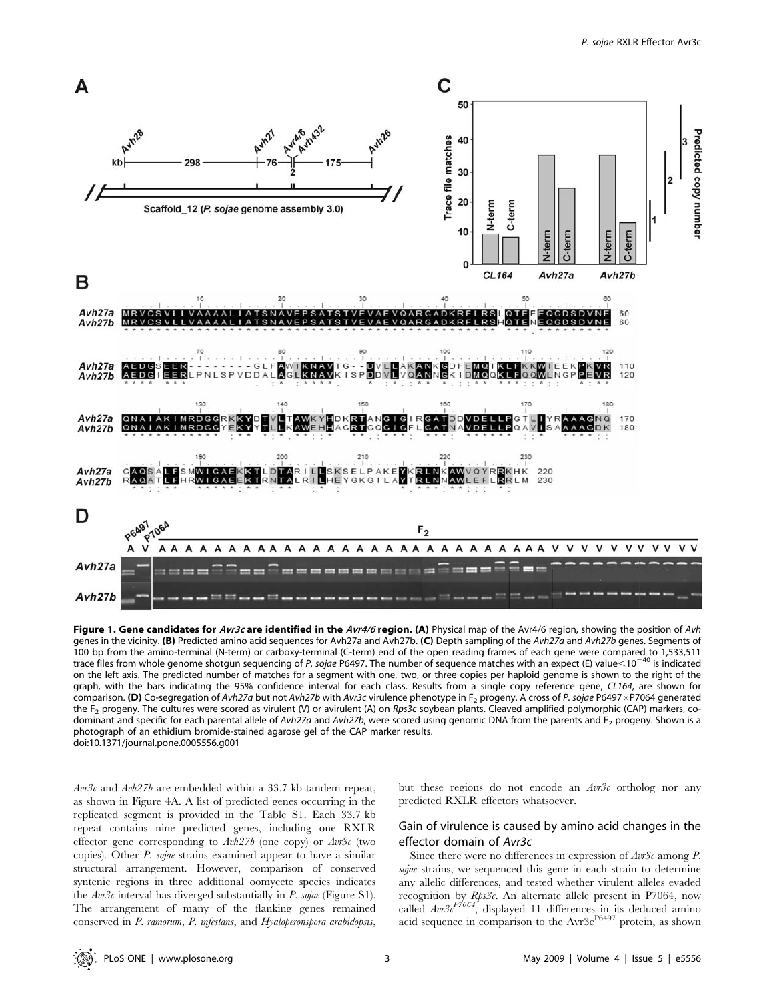

Figure 1. Gene candidates for Avr3c are identified in the Avr4/6 region. (A) Physical map of the Avr4/6 region, showing the position of Avh genes in the vicinity. (B) Predicted amino acid sequences for Avh27a and Avh27b. (C) Depth sampling of the Avh27a and Avh27b genes. Segments of 100 bp from the amino-terminal (N-term) or carboxy-terminal (C-term) end of the open reading frames of each gene were compared to 1,533,511 trace files from whole genome shotgun sequencing of P. sojae P6497. The number of sequence matches with an expect (E) value<10<sup>-40</sup> is indicated on the left axis. The predicted number of matches for a segment with one, two, or three copies per haploid genome is shown to the right of the graph, with the bars indicating the 95% confidence interval for each class. Results from a single copy reference gene, CL164, are shown for comparison. (D) Co-segregation of Avh27a but not Avh27b with Avr3c virulence phenotype in F<sub>2</sub> progeny. A cross of P. sojae P6497 × P7064 generated the F<sub>2</sub> progeny. The cultures were scored as virulent (V) or avirulent (A) on Rps3c soybean plants. Cleaved amplified polymorphic (CAP) markers, codominant and specific for each parental allele of Avh27a and Avh27b, were scored using genomic DNA from the parents and F<sub>2</sub> progeny. Shown is a photograph of an ethidium bromide-stained agarose gel of the CAP marker results. doi:10.1371/journal.pone.0005556.g001

 $Avr3c$  and  $Avh27b$  are embedded within a 33.7 kb tandem repeat, as shown in Figure 4A. A list of predicted genes occurring in the replicated segment is provided in the Table S1. Each 33.7 kb repeat contains nine predicted genes, including one RXLR effector gene corresponding to  $Avh27b$  (one copy) or  $Avr3c$  (two copies). Other P. sojae strains examined appear to have a similar structural arrangement. However, comparison of conserved syntenic regions in three additional oomycete species indicates the  $Av3c$  interval has diverged substantially in P. sojae (Figure S1). The arrangement of many of the flanking genes remained conserved in P. ramorum, P. infestans, and Hyaloperonspora arabidopsis, but these regions do not encode an  $Avr3c$  ortholog nor any predicted RXLR effectors whatsoever.

# Gain of virulence is caused by amino acid changes in the effector domain of Avr3c

Since there were no differences in expression of  $Av3c$  among P. sojae strains, we sequenced this gene in each strain to determine any allelic differences, and tested whether virulent alleles evaded recognition by Rps3c. An alternate allele present in P7064, now called  $Avr3c^{P7064}$ , displayed 11 differences in its deduced amino acid sequence in comparison to the Avr3c<sup>P6497</sup> protein, as shown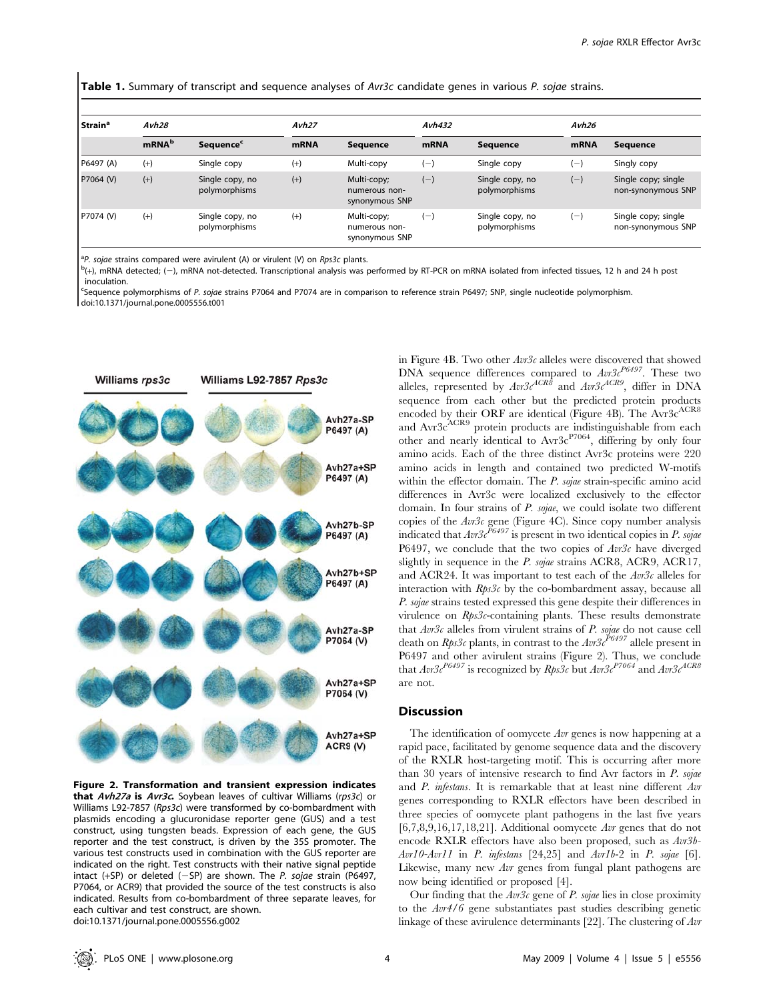Table 1. Summary of transcript and sequence analyses of Avr3c candidate genes in various P. sojae strains.

| l Strainª | Avh28             |                                  | Avh27       |                                                | Avh432      |                                  | Avh26       |                                           |
|-----------|-------------------|----------------------------------|-------------|------------------------------------------------|-------------|----------------------------------|-------------|-------------------------------------------|
|           | mRNA <sup>b</sup> | <b>Sequence</b> <sup>c</sup>     | <b>mRNA</b> | Sequence                                       | <b>mRNA</b> | <b>Sequence</b>                  | <b>mRNA</b> | <b>Sequence</b>                           |
| P6497 (A) | $(+)$             | Single copy                      | $(+)$       | Multi-copy                                     | $(-)$       | Single copy                      | (—)         | Singly copy                               |
| P7064 (V) | $(+)$             | Single copy, no<br>polymorphisms | $(+)$       | Multi-copy;<br>numerous non-<br>synonymous SNP | $(-)$       | Single copy, no<br>polymorphisms | $(-)$       | Single copy; single<br>non-synonymous SNP |
| P7074 (V) | $(+)$             | Single copy, no<br>polymorphisms | $(+)$       | Multi-copy;<br>numerous non-<br>synonymous SNP | '—)         | Single copy, no<br>polymorphisms | $(-)$       | Single copy; single<br>non-synonymous SNP |

<sup>a</sup>P. sojae strains compared were avirulent (A) or virulent (V) on Rps3c plants.<br> $b_{(+)}$  mPNA detected: (-) mPNA pot-detected Transcriptional analysis was

 $^{b}$ (+), mRNA detected; (-), mRNA not-detected. Transcriptional analysis was performed by RT-PCR on mRNA isolated from infected tissues, 12 h and 24 h post inoculation.

c Sequence polymorphisms of P. sojae strains P7064 and P7074 are in comparison to reference strain P6497; SNP, single nucleotide polymorphism. doi:10.1371/journal.pone.0005556.t001



Figure 2. Transformation and transient expression indicates that Avh27a is Avr3c. Soybean leaves of cultivar Williams (rps3c) or Williams L92-7857 (Rps3c) were transformed by co-bombardment with plasmids encoding a glucuronidase reporter gene (GUS) and a test construct, using tungsten beads. Expression of each gene, the GUS reporter and the test construct, is driven by the 35S promoter. The various test constructs used in combination with the GUS reporter are indicated on the right. Test constructs with their native signal peptide intact (+SP) or deleted  $(-SP)$  are shown. The P. sojae strain (P6497, P7064, or ACR9) that provided the source of the test constructs is also indicated. Results from co-bombardment of three separate leaves, for each cultivar and test construct, are shown. doi:10.1371/journal.pone.0005556.g002

in Figure 4B. Two other Avr3c alleles were discovered that showed DNA sequence differences compared to  $Av3c^{P6497}$ . These two alleles, represented by  $Av3c^{ACR8}$  and  $Av3c^{ACR9}$ , differ in DNA sequence from each other but the predicted protein products encoded by their ORF are identical (Figure 4B). The  $Avr3c^{ACR8}$ and Avr3c<sup>ACR9</sup> protein products are indistinguishable from each other and nearly identical to Avr3c<sup>P7064</sup>, differing by only four amino acids. Each of the three distinct Avr3c proteins were 220 amino acids in length and contained two predicted W-motifs within the effector domain. The P. sojae strain-specific amino acid differences in Avr3c were localized exclusively to the effector domain. In four strains of P. sojae, we could isolate two different copies of the  $Avr3c$  gene (Figure 4C). Since copy number analysis indicated that  $Avr3c^{P6497}$  is present in two identical copies in P. sojae P6497, we conclude that the two copies of  $Avr3c$  have diverged slightly in sequence in the *P. sojae* strains ACR8, ACR9, ACR17, and ACR24. It was important to test each of the Avr3c alleles for interaction with  $Rps3c$  by the co-bombardment assay, because all P. sojae strains tested expressed this gene despite their differences in virulence on Rps3c-containing plants. These results demonstrate that  $Avr3c$  alleles from virulent strains of P. sojae do not cause cell death on  $Rps3c$  plants, in contrast to the  $Ar3c^{PG497}$  allele present in P6497 and other avirulent strains (Figure 2). Thus, we conclude that  $Avr3c^{P6497}$  is recognized by  $Rps3c$  but  $Avr3c^{P7064}$  and  $Avr3c^{ACR8}$ are not.

# **Discussion**

The identification of oomycete Avr genes is now happening at a rapid pace, facilitated by genome sequence data and the discovery of the RXLR host-targeting motif. This is occurring after more than 30 years of intensive research to find Avr factors in  $P$ . sojae and P. infestans. It is remarkable that at least nine different Avr genes corresponding to RXLR effectors have been described in three species of oomycete plant pathogens in the last five years  $[6,7,8,9,16,17,18,21]$ . Additional oomycete Avr genes that do not encode RXLR effectors have also been proposed, such as Avr3b- $Avr10$ - $Avr11$  in P. infestans  $[24,25]$  and  $Avr1b-2$  in P. sojae  $[6]$ . Likewise, many new Avr genes from fungal plant pathogens are now being identified or proposed [4].

Our finding that the  $Av3c$  gene of P. sojae lies in close proximity to the Avr4/6 gene substantiates past studies describing genetic linkage of these avirulence determinants [22]. The clustering of Avr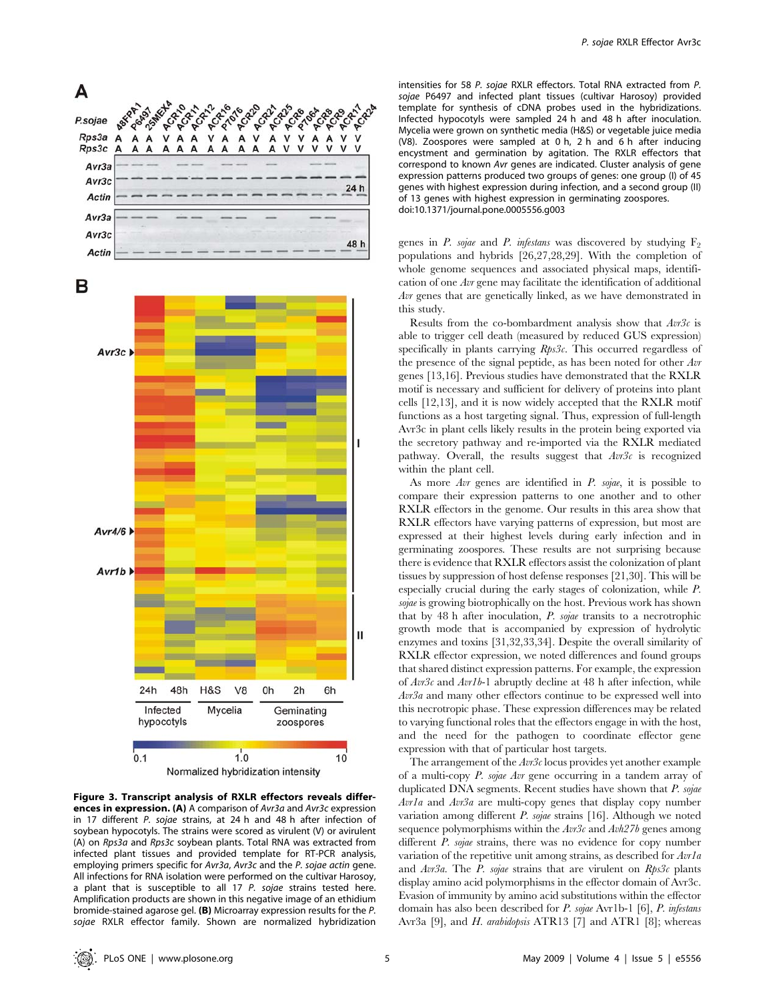



Figure 3. Transcript analysis of RXLR effectors reveals differences in expression. (A) A comparison of Avr3a and Avr3c expression in 17 different P. sojae strains, at 24 h and 48 h after infection of soybean hypocotyls. The strains were scored as virulent (V) or avirulent (A) on Rps3a and Rps3c soybean plants. Total RNA was extracted from infected plant tissues and provided template for RT-PCR analysis, employing primers specific for Avr3a, Avr3c and the P. sojae actin gene. All infections for RNA isolation were performed on the cultivar Harosoy, a plant that is susceptible to all 17 P. sojae strains tested here. Amplification products are shown in this negative image of an ethidium bromide-stained agarose gel. (B) Microarray expression results for the P. sojae RXLR effector family. Shown are normalized hybridization

intensities for 58 P. sojae RXLR effectors. Total RNA extracted from P. sojae P6497 and infected plant tissues (cultivar Harosoy) provided template for synthesis of cDNA probes used in the hybridizations. Infected hypocotyls were sampled 24 h and 48 h after inoculation. Mycelia were grown on synthetic media (H&S) or vegetable juice media (V8). Zoospores were sampled at 0 h, 2 h and 6 h after inducing encystment and germination by agitation. The RXLR effectors that correspond to known Avr genes are indicated. Cluster analysis of gene expression patterns produced two groups of genes: one group (I) of 45 genes with highest expression during infection, and a second group (II) of 13 genes with highest expression in germinating zoospores. doi:10.1371/journal.pone.0005556.g003

genes in P. sojae and P. infestans was discovered by studying  $F_2$ populations and hybrids [26,27,28,29]. With the completion of whole genome sequences and associated physical maps, identification of one Avr gene may facilitate the identification of additional Avr genes that are genetically linked, as we have demonstrated in this study.

Results from the co-bombardment analysis show that  $Avr3c$  is able to trigger cell death (measured by reduced GUS expression) specifically in plants carrying Rps3c. This occurred regardless of the presence of the signal peptide, as has been noted for other Avr genes [13,16]. Previous studies have demonstrated that the RXLR motif is necessary and sufficient for delivery of proteins into plant cells [12,13], and it is now widely accepted that the RXLR motif functions as a host targeting signal. Thus, expression of full-length Avr3c in plant cells likely results in the protein being exported via the secretory pathway and re-imported via the RXLR mediated pathway. Overall, the results suggest that  $Ar3c$  is recognized within the plant cell.

As more Avr genes are identified in P. sojae, it is possible to compare their expression patterns to one another and to other RXLR effectors in the genome. Our results in this area show that RXLR effectors have varying patterns of expression, but most are expressed at their highest levels during early infection and in germinating zoospores. These results are not surprising because there is evidence that RXLR effectors assist the colonization of plant tissues by suppression of host defense responses [21,30]. This will be especially crucial during the early stages of colonization, while P. sojae is growing biotrophically on the host. Previous work has shown that by 48 h after inoculation, P. sojae transits to a necrotrophic growth mode that is accompanied by expression of hydrolytic enzymes and toxins [31,32,33,34]. Despite the overall similarity of RXLR effector expression, we noted differences and found groups that shared distinct expression patterns. For example, the expression of  $Avr3c$  and  $Avrlb-1$  abruptly decline at 48 h after infection, while Avr3a and many other effectors continue to be expressed well into this necrotropic phase. These expression differences may be related to varying functional roles that the effectors engage in with the host, and the need for the pathogen to coordinate effector gene expression with that of particular host targets.

The arrangement of the  $Av3c$  locus provides yet another example of a multi-copy P. sojae Avr gene occurring in a tandem array of duplicated DNA segments. Recent studies have shown that P. sojae Avrla and Avr3a are multi-copy genes that display copy number variation among different P. sojae strains [16]. Although we noted sequence polymorphisms within the  $Avr3c$  and  $Avh27b$  genes among different P. sojae strains, there was no evidence for copy number variation of the repetitive unit among strains, as described for  $Avrla$ and  $Avr3a$ . The P. sojae strains that are virulent on  $Rps3c$  plants display amino acid polymorphisms in the effector domain of Avr3c. Evasion of immunity by amino acid substitutions within the effector domain has also been described for P. sojae Avr1b-1 [6], P. infestans Avr3a [9], and *H. arabidopsis* ATR13 [7] and ATR1 [8]; whereas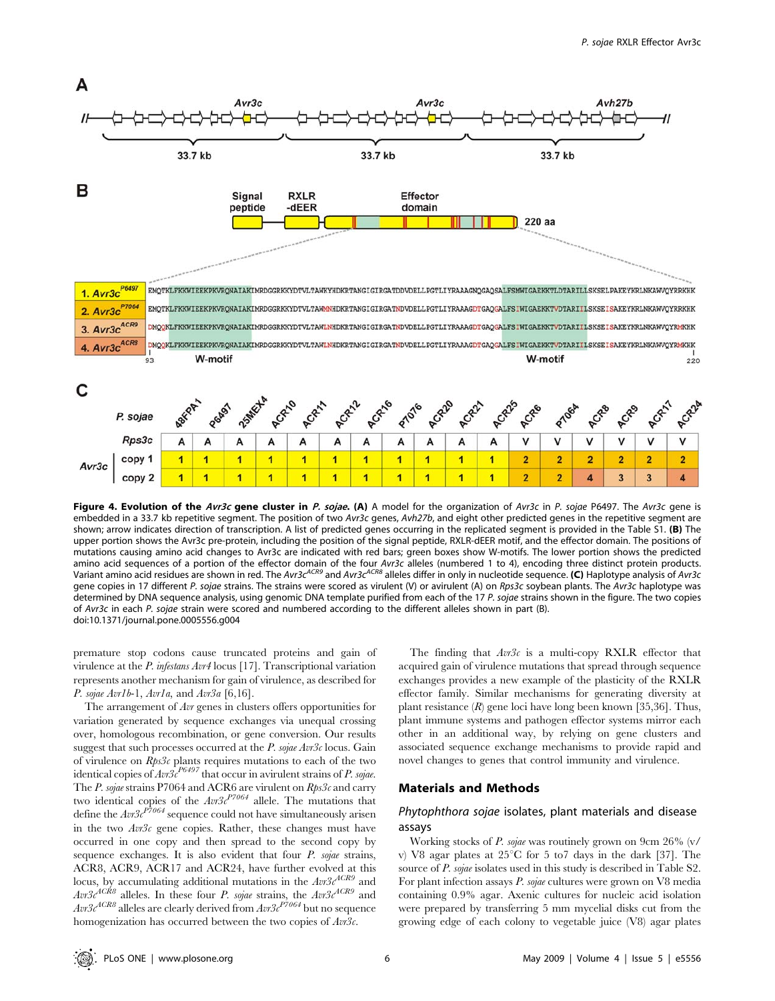

Figure 4. Evolution of the Avr3c gene cluster in P. sojae. (A) A model for the organization of Avr3c in P. sojae P6497. The Avr3c gene is embedded in a 33.7 kb repetitive segment. The position of two Avr3c genes, Avh27b, and eight other predicted genes in the repetitive segment are shown; arrow indicates direction of transcription. A list of predicted genes occurring in the replicated segment is provided in the Table S1. (B) The upper portion shows the Avr3c pre-protein, including the position of the signal peptide, RXLR-dEER motif, and the effector domain. The positions of mutations causing amino acid changes to Avr3c are indicated with red bars; green boxes show W-motifs. The lower portion shows the predicted amino acid sequences of a portion of the effector domain of the four Avr3c alleles (numbered 1 to 4), encoding three distinct protein products. Variant amino acid residues are shown in red. The Avr3c<sup>ACR9</sup> and Avr3c<sup>ACR8</sup> alleles differ in only in nucleotide sequence. (C) Haplotype analysis of Avr3c gene copies in 17 different P. sojae strains. The strains were scored as virulent (V) or avirulent (A) on Rps3c soybean plants. The Avr3c haplotype was determined by DNA sequence analysis, using genomic DNA template purified from each of the 17 P. sojae strains shown in the figure. The two copies of Avr3c in each P. sojae strain were scored and numbered according to the different alleles shown in part (B). doi:10.1371/journal.pone.0005556.g004

premature stop codons cause truncated proteins and gain of virulence at the P. infestans Avr4 locus [17]. Transcriptional variation represents another mechanism for gain of virulence, as described for P. sojae Avr1b-1, Avr1a, and Avr3a  $[6,16]$ .

The arrangement of Avr genes in clusters offers opportunities for variation generated by sequence exchanges via unequal crossing over, homologous recombination, or gene conversion. Our results suggest that such processes occurred at the  $P$ . sojae Avr3c locus. Gain of virulence on  $Rps3c$  plants requires mutations to each of the two identical copies of  $Avr3c^{P6497}$  that occur in avirulent strains of P. sojae. The P. sojae strains P7064 and ACR6 are virulent on  $Rps3c$  and carry two identical copies of the  $Ar3c^{P7064}$  allele. The mutations that define the  $Av3c^{P7064}$  sequence could not have simultaneously arisen in the two  $Avr3c$  gene copies. Rather, these changes must have occurred in one copy and then spread to the second copy by sequence exchanges. It is also evident that four P. sojae strains, ACR8, ACR9, ACR17 and ACR24, have further evolved at this locus, by accumulating additional mutations in the  $Avr3c^{ACR9}$  and  $Avr3c^{ACR8}$  alleles. In these four P. sojae strains, the  $Avr3c^{ACR9}$  and  $\mathit{Avr3c}^{ACR8}$  alleles are clearly derived from  $\mathit{Avr3c}^{P7064}$  but no sequence homogenization has occurred between the two copies of  $Av3c$ .

The finding that  $Av3c$  is a multi-copy RXLR effector that acquired gain of virulence mutations that spread through sequence exchanges provides a new example of the plasticity of the RXLR effector family. Similar mechanisms for generating diversity at plant resistance  $(R)$  gene loci have long been known [35,36]. Thus, plant immune systems and pathogen effector systems mirror each other in an additional way, by relying on gene clusters and associated sequence exchange mechanisms to provide rapid and novel changes to genes that control immunity and virulence.

### Materials and Methods

# Phytophthora sojae isolates, plant materials and disease assays

Working stocks of P. sojae was routinely grown on 9cm 26% (v/ v) V8 agar plates at  $25^{\circ}$ C for 5 to 7 days in the dark [37]. The source of *P. sojae* isolates used in this study is described in Table S2. For plant infection assays P. sojae cultures were grown on V8 media containing 0.9% agar. Axenic cultures for nucleic acid isolation were prepared by transferring 5 mm mycelial disks cut from the growing edge of each colony to vegetable juice (V8) agar plates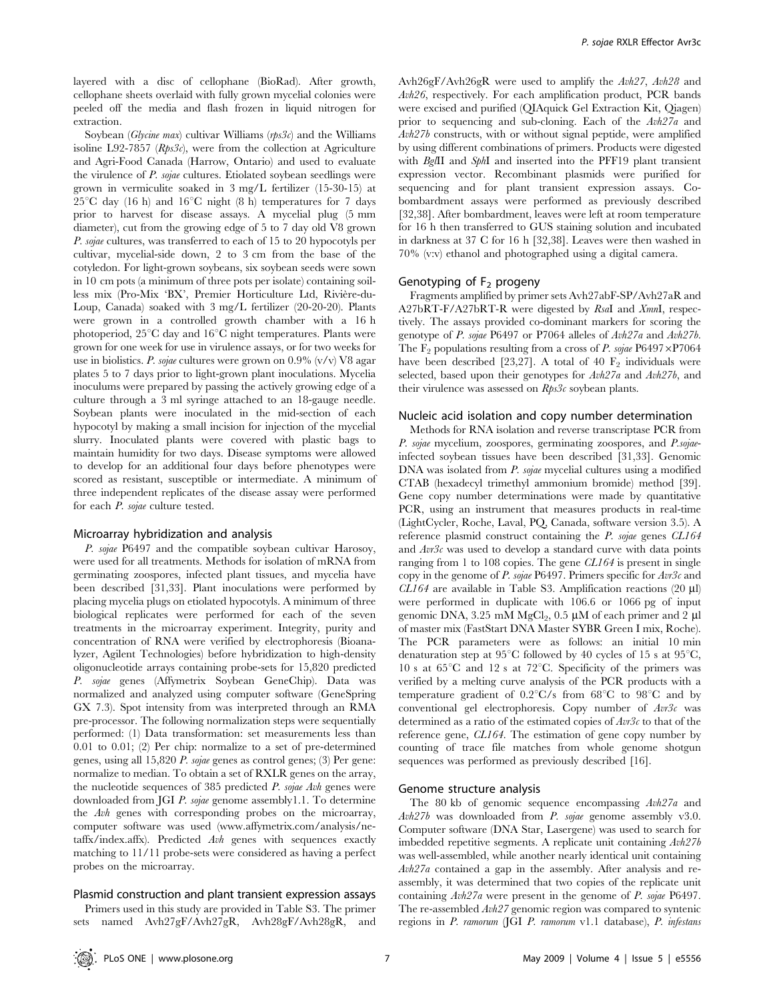layered with a disc of cellophane (BioRad). After growth, cellophane sheets overlaid with fully grown mycelial colonies were peeled off the media and flash frozen in liquid nitrogen for extraction.

Soybean (Glycine max) cultivar Williams (rps3c) and the Williams isoline L92-7857 ( $Rps3c$ ), were from the collection at Agriculture and Agri-Food Canada (Harrow, Ontario) and used to evaluate the virulence of P. sojae cultures. Etiolated soybean seedlings were grown in vermiculite soaked in 3 mg/L fertilizer (15-30-15) at  $25^{\circ}$ C day (16 h) and 16<sup>°</sup>C night (8 h) temperatures for 7 days prior to harvest for disease assays. A mycelial plug (5 mm diameter), cut from the growing edge of 5 to 7 day old V8 grown P. sojae cultures, was transferred to each of 15 to 20 hypocotyls per cultivar, mycelial-side down, 2 to 3 cm from the base of the cotyledon. For light-grown soybeans, six soybean seeds were sown in 10 cm pots (a minimum of three pots per isolate) containing soilless mix (Pro-Mix 'BX', Premier Horticulture Ltd, Rivière-du-Loup, Canada) soaked with 3 mg/L fertilizer (20-20-20). Plants were grown in a controlled growth chamber with a 16 h photoperiod,  $25^{\circ}$ C day and  $16^{\circ}$ C night temperatures. Plants were grown for one week for use in virulence assays, or for two weeks for use in biolistics. P. sojae cultures were grown on  $0.9\%$  (v/v) V8 agar plates 5 to 7 days prior to light-grown plant inoculations. Mycelia inoculums were prepared by passing the actively growing edge of a culture through a 3 ml syringe attached to an 18-gauge needle. Soybean plants were inoculated in the mid-section of each hypocotyl by making a small incision for injection of the mycelial slurry. Inoculated plants were covered with plastic bags to maintain humidity for two days. Disease symptoms were allowed to develop for an additional four days before phenotypes were scored as resistant, susceptible or intermediate. A minimum of three independent replicates of the disease assay were performed for each P. sojae culture tested.

#### Microarray hybridization and analysis

P. sojae P6497 and the compatible soybean cultivar Harosoy, were used for all treatments. Methods for isolation of mRNA from germinating zoospores, infected plant tissues, and mycelia have been described [31,33]. Plant inoculations were performed by placing mycelia plugs on etiolated hypocotyls. A minimum of three biological replicates were performed for each of the seven treatments in the microarray experiment. Integrity, purity and concentration of RNA were verified by electrophoresis (Bioanalyzer, Agilent Technologies) before hybridization to high-density oligonucleotide arrays containing probe-sets for 15,820 predicted P. sojae genes (Affymetrix Soybean GeneChip). Data was normalized and analyzed using computer software (GeneSpring GX 7.3). Spot intensity from was interpreted through an RMA pre-processor. The following normalization steps were sequentially performed: (1) Data transformation: set measurements less than 0.01 to 0.01; (2) Per chip: normalize to a set of pre-determined genes, using all 15,820 P. sojae genes as control genes; (3) Per gene: normalize to median. To obtain a set of RXLR genes on the array, the nucleotide sequences of 385 predicted P. sojae Avh genes were downloaded from JGI P. sojae genome assembly1.1. To determine the Avh genes with corresponding probes on the microarray, computer software was used (www.affymetrix.com/analysis/netaffx/index.affx). Predicted Avh genes with sequences exactly matching to 11/11 probe-sets were considered as having a perfect probes on the microarray.

## Plasmid construction and plant transient expression assays

Primers used in this study are provided in Table S3. The primer sets named Avh27gF/Avh27gR, Avh28gF/Avh28gR, and Avh26gF/Avh26gR were used to amplify the Avh27, Avh28 and Avh26, respectively. For each amplification product, PCR bands were excised and purified (QIAquick Gel Extraction Kit, Qiagen) prior to sequencing and sub-cloning. Each of the Avh27a and Avh27b constructs, with or without signal peptide, were amplified by using different combinations of primers. Products were digested with BglII and SphI and inserted into the PFF19 plant transient expression vector. Recombinant plasmids were purified for sequencing and for plant transient expression assays. Cobombardment assays were performed as previously described [32,38]. After bombardment, leaves were left at room temperature for 16 h then transferred to GUS staining solution and incubated in darkness at 37 C for 16 h [32,38]. Leaves were then washed in 70% (v:v) ethanol and photographed using a digital camera.

#### Genotyping of  $F<sub>2</sub>$  progeny

Fragments amplified by primer sets Avh27abF-SP/Avh27aR and A27bRT-F/A27bRT-R were digested by RsaI and XmnI, respectively. The assays provided co-dominant markers for scoring the genotype of P. sojae P6497 or P7064 alleles of Avh27a and Avh27b. The F<sub>2</sub> populations resulting from a cross of P. sojae P6497 $\times$ P7064 have been described [23,27]. A total of 40  $F_2$  individuals were selected, based upon their genotypes for  $Avh27a$  and  $Avh27b$ , and their virulence was assessed on  $Rps3c$  soybean plants.

#### Nucleic acid isolation and copy number determination

Methods for RNA isolation and reverse transcriptase PCR from P. sojae mycelium, zoospores, germinating zoospores, and P.sojaeinfected soybean tissues have been described [31,33]. Genomic DNA was isolated from *P. sojae* mycelial cultures using a modified CTAB (hexadecyl trimethyl ammonium bromide) method [39]. Gene copy number determinations were made by quantitative PCR, using an instrument that measures products in real-time (LightCycler, Roche, Laval, PQ, Canada, software version 3.5). A reference plasmid construct containing the P. sojae genes CL164 and  $Avr3c$  was used to develop a standard curve with data points ranging from 1 to 108 copies. The gene CL164 is present in single copy in the genome of P. sojae P6497. Primers specific for  $Avr3c$  and  $CL164$  are available in Table S3. Amplification reactions (20  $\mu$ l) were performed in duplicate with 106.6 or 1066 pg of input genomic DNA, 3.25 mM MgCl<sub>2</sub>, 0.5  $\mu$ M of each primer and 2  $\mu$ l of master mix (FastStart DNA Master SYBR Green I mix, Roche). The PCR parameters were as follows: an initial 10 min denaturation step at  $95^{\circ}$ C followed by 40 cycles of 15 s at  $95^{\circ}$ C, 10 s at  $65^{\circ}$ C and 12 s at 72 $^{\circ}$ C. Specificity of the primers was verified by a melting curve analysis of the PCR products with a temperature gradient of  $0.2^{\circ}\text{C/s}$  from  $68^{\circ}\text{C}$  to  $98^{\circ}\text{C}$  and by conventional gel electrophoresis. Copy number of  $Ar\beta c$  was determined as a ratio of the estimated copies of  $Avr3c$  to that of the reference gene, CL164. The estimation of gene copy number by counting of trace file matches from whole genome shotgun sequences was performed as previously described [16].

#### Genome structure analysis

The 80 kb of genomic sequence encompassing Avh27a and Avh27b was downloaded from P. sojae genome assembly v3.0. Computer software (DNA Star, Lasergene) was used to search for imbedded repetitive segments. A replicate unit containing Avh27b was well-assembled, while another nearly identical unit containing Avh27a contained a gap in the assembly. After analysis and reassembly, it was determined that two copies of the replicate unit containing Avh27a were present in the genome of P. sojae P6497. The re-assembled  $Avh27$  genomic region was compared to syntenic regions in P. ramorum (JGI P. ramorum v1.1 database), P. infestans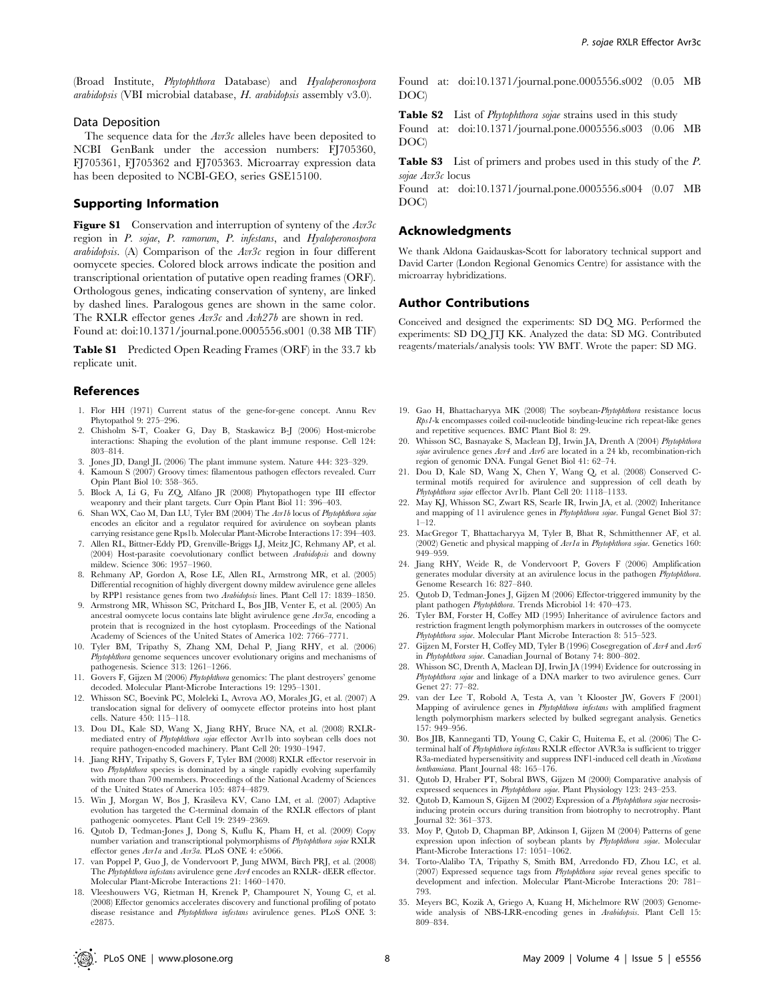(Broad Institute, *Phytophthora* Database) and *Hyaloperonospora* arabidopsis (VBI microbial database, H. arabidopsis assembly v3.0).

#### Data Deposition

The sequence data for the  $Avr3c$  alleles have been deposited to NCBI GenBank under the accession numbers: FJ705360, FJ705361, FJ705362 and FJ705363. Microarray expression data has been deposited to NCBI-GEO, series GSE15100.

#### Supporting Information

**Figure S1** Conservation and interruption of synteny of the  $Av3c$ region in P. sojae, P. ramorum, P. infestans, and Hyaloperonospora arabidopsis. (A) Comparison of the  $Avr3c$  region in four different oomycete species. Colored block arrows indicate the position and transcriptional orientation of putative open reading frames (ORF). Orthologous genes, indicating conservation of synteny, are linked by dashed lines. Paralogous genes are shown in the same color. The RXLR effector genes  $Avr3c$  and  $Avh27b$  are shown in red. Found at: doi:10.1371/journal.pone.0005556.s001 (0.38 MB TIF)

Table S1 Predicted Open Reading Frames (ORF) in the 33.7 kb replicate unit.

#### References

- 1. Flor HH (1971) Current status of the gene-for-gene concept. Annu Rev Phytopathol 9: 275–296.
- 2. Chisholm S-T, Coaker G, Day B, Staskawicz B-J (2006) Host-microbe interactions: Shaping the evolution of the plant immune response. Cell 124: 803–814.
- 3. Jones JD, Dangl JL (2006) The plant immune system. Nature 444: 323–329.
- 4. Kamoun S (2007) Groovy times: filamentous pathogen effectors revealed. Curr Opin Plant Biol 10: 358–365.
- 5. Block A, Li G, Fu ZQ, Alfano JR (2008) Phytopathogen type III effector weaponry and their plant targets. Curr Opin Plant Biol 11: 396–403.
- 6. Shan WX, Cao M, Dan LU, Tyler BM (2004) The Avr1b locus of Phytophthora sojae encodes an elicitor and a regulator required for avirulence on soybean plants carrying resistance gene Rps1b. Molecular Plant-Microbe Interactions 17: 394–403.
- 7. Allen RL, Bittner-Eddy PD, Grenville-Briggs LJ, Meitz JC, Rehmany AP, et al. (2004) Host-parasite coevolutionary conflict between Arabidopsis and downy mildew. Science 306: 1957–1960.
- 8. Rehmany AP, Gordon A, Rose LE, Allen RL, Armstrong MR, et al. (2005) Differential recognition of highly divergent downy mildew avirulence gene alleles by RPP1 resistance genes from two Arabidopsis lines. Plant Cell 17: 1839–1850.
- 9. Armstrong MR, Whisson SC, Pritchard L, Bos JIB, Venter E, et al. (2005) An ancestral oomycete locus contains late blight avirulence gene Avr3a, encoding a protein that is recognized in the host cytoplasm. Proceedings of the National Academy of Sciences of the United States of America 102: 7766–7771.
- 10. Tyler BM, Tripathy S, Zhang XM, Dehal P, Jiang RHY, et al. (2006) Phytophthora genome sequences uncover evolutionary origins and mechanisms of pathogenesis. Science 313: 1261–1266.
- 11. Govers F, Gijzen M (2006) Phytophthora genomics: The plant destroyers' genome decoded. Molecular Plant-Microbe Interactions 19: 1295–1301.
- 12. Whisson SC, Boevink PC, Moleleki L, Avrova AO, Morales JG, et al. (2007) A translocation signal for delivery of oomycete effector proteins into host plant cells. Nature 450: 115–118.
- 13. Dou DL, Kale SD, Wang X, Jiang RHY, Bruce NA, et al. (2008) RXLRmediated entry of Phytophthora sojae effector Avr1b into soybean cells does not require pathogen-encoded machinery. Plant Cell 20: 1930–1947.
- 14. Jiang RHY, Tripathy S, Govers F, Tyler BM (2008) RXLR effector reservoir in two Phytophthora species is dominated by a single rapidly evolving superfamily with more than 700 members. Proceedings of the National Academy of Sciences of the United States of America 105: 4874–4879.
- 15. Win J, Morgan W, Bos J, Krasileva KV, Cano LM, et al. (2007) Adaptive evolution has targeted the C-terminal domain of the RXLR effectors of plant pathogenic oomycetes. Plant Cell 19: 2349–2369.
- 16. Qutob D, Tedman-Jones J, Dong S, Kuflu K, Pham H, et al. (2009) Copy number variation and transcriptional polymorphisms of Phytophthora sojae RXLR effector genes Avr1a and Avr3a. PLoS ONE 4: e5066.
- 17. van Poppel P, Guo J, de Vondervoort P, Jung MWM, Birch PRJ, et al. (2008) The Phytophthora infestans avirulence gene Avr4 encodes an RXLR- dEER effector. Molecular Plant-Microbe Interactions 21: 1460–1470.
- 18. Vleeshouwers VG, Rietman H, Krenek P, Champouret N, Young C, et al. (2008) Effector genomics accelerates discovery and functional profiling of potato disease resistance and Phytophthora infestans avirulence genes. PLoS ONE 3: e2875.

Found at: doi:10.1371/journal.pone.0005556.s002 (0.05 MB DOC)

Table S2 List of *Phytophthora sojae* strains used in this study

Found at: doi:10.1371/journal.pone.0005556.s003 (0.06 MB DOC)

Table S3 List of primers and probes used in this study of the P. sojae Avr3c locus

Found at: doi:10.1371/journal.pone.0005556.s004 (0.07 MB DOC)

#### Acknowledgments

We thank Aldona Gaidauskas-Scott for laboratory technical support and David Carter (London Regional Genomics Centre) for assistance with the microarray hybridizations.

## Author Contributions

Conceived and designed the experiments: SD DQ MG. Performed the experiments: SD DQ JTJ KK. Analyzed the data: SD MG. Contributed reagents/materials/analysis tools: YW BMT. Wrote the paper: SD MG.

- 19. Gao H, Bhattacharyya MK (2008) The soybean-Phytophthora resistance locus Rps1-k encompasses coiled coil-nucleotide binding-leucine rich repeat-like genes and repetitive sequences. BMC Plant Biol 8: 29.
- 20. Whisson SC, Basnayake S, Maclean DJ, Irwin JA, Drenth A (2004) Phytophthora sojae avirulence genes Avr4 and Avr6 are located in a 24 kb, recombination-rich region of genomic DNA. Fungal Genet Biol 41: 62–74.
- 21. Dou D, Kale SD, Wang X, Chen Y, Wang Q, et al. (2008) Conserved Cterminal motifs required for avirulence and suppression of cell death by Phytophthora sojae effector Avr1b. Plant Cell 20: 1118–1133.
- 22. May KJ, Whisson SC, Zwart RS, Searle IR, Irwin JA, et al. (2002) Inheritance and mapping of 11 avirulence genes in Phytophthora sojae. Fungal Genet Biol 37:  $1 - 12$
- 23. MacGregor T, Bhattacharyya M, Tyler B, Bhat R, Schmitthenner AF, et al. (2002) Genetic and physical mapping of Avr1a in Phytophthora sojae. Genetics 160: 949–959.
- 24. Jiang RHY, Weide R, de Vondervoort P, Govers F (2006) Amplification generates modular diversity at an avirulence locus in the pathogen Phytophthora. Genome Research 16: 827–840.
- 25. Qutob D, Tedman-Jones J, Gijzen M (2006) Effector-triggered immunity by the plant pathogen Phytophthora. Trends Microbiol 14: 470–473.
- 26. Tyler BM, Forster H, Coffey MD (1995) Inheritance of avirulence factors and restriction fragment length polymorphism markers in outcrosses of the oomycete Phytophthora sojae. Molecular Plant Microbe Interaction 8: 515–523.
- 27. Gijzen M, Forster H, Coffey MD, Tyler B (1996) Cosegregation of  $Avr4$  and  $Avr6$ in Phytophthora sojae. Canadian Journal of Botany 74: 800–802.
- 28. Whisson SC, Drenth A, Maclean DJ, Irwin JA (1994) Evidence for outcrossing in Phytophthora sojae and linkage of a DNA marker to two avirulence genes. Curr Genet 27: 77–82.
- 29. van der Lee T, Robold A, Testa A, van 't Klooster JW, Govers F (2001) Mapping of avirulence genes in Phytophthora infestans with amplified fragment length polymorphism markers selected by bulked segregant analysis. Genetics 157: 949–956.
- 30. Bos JIB, Kanneganti TD, Young C, Cakir C, Huitema E, et al. (2006) The Cterminal half of Phytophthora infestans RXLR effector AVR3a is sufficient to trigger R3a-mediated hypersensitivity and suppress INF1-induced cell death in Nicotiana benthamiana. Plant Journal 48: 165–176.
- 31. Qutob D, Hraber PT, Sobral BWS, Gijzen M (2000) Comparative analysis of expressed sequences in Phytophthora sojae. Plant Physiology 123: 243–253.
- 32. Qutob D, Kamoun S, Gijzen M (2002) Expression of a Phytophthora sojae necrosisinducing protein occurs during transition from biotrophy to necrotrophy. Plant Journal 32: 361–373.
- 33. Moy P, Qutob D, Chapman BP, Atkinson I, Gijzen M (2004) Patterns of gene expression upon infection of soybean plants by Phytophthora sojae. Molecular Plant-Microbe Interactions 17: 1051–1062.
- 34. Torto-Alalibo TA, Tripathy S, Smith BM, Arredondo FD, Zhou LC, et al. (2007) Expressed sequence tags from Phytophthora sojae reveal genes specific to development and infection. Molecular Plant-Microbe Interactions 20: 781– 793.
- 35. Meyers BC, Kozik A, Griego A, Kuang H, Michelmore RW (2003) Genomewide analysis of NBS-LRR-encoding genes in Arabidopsis. Plant Cell 15: 809–834.